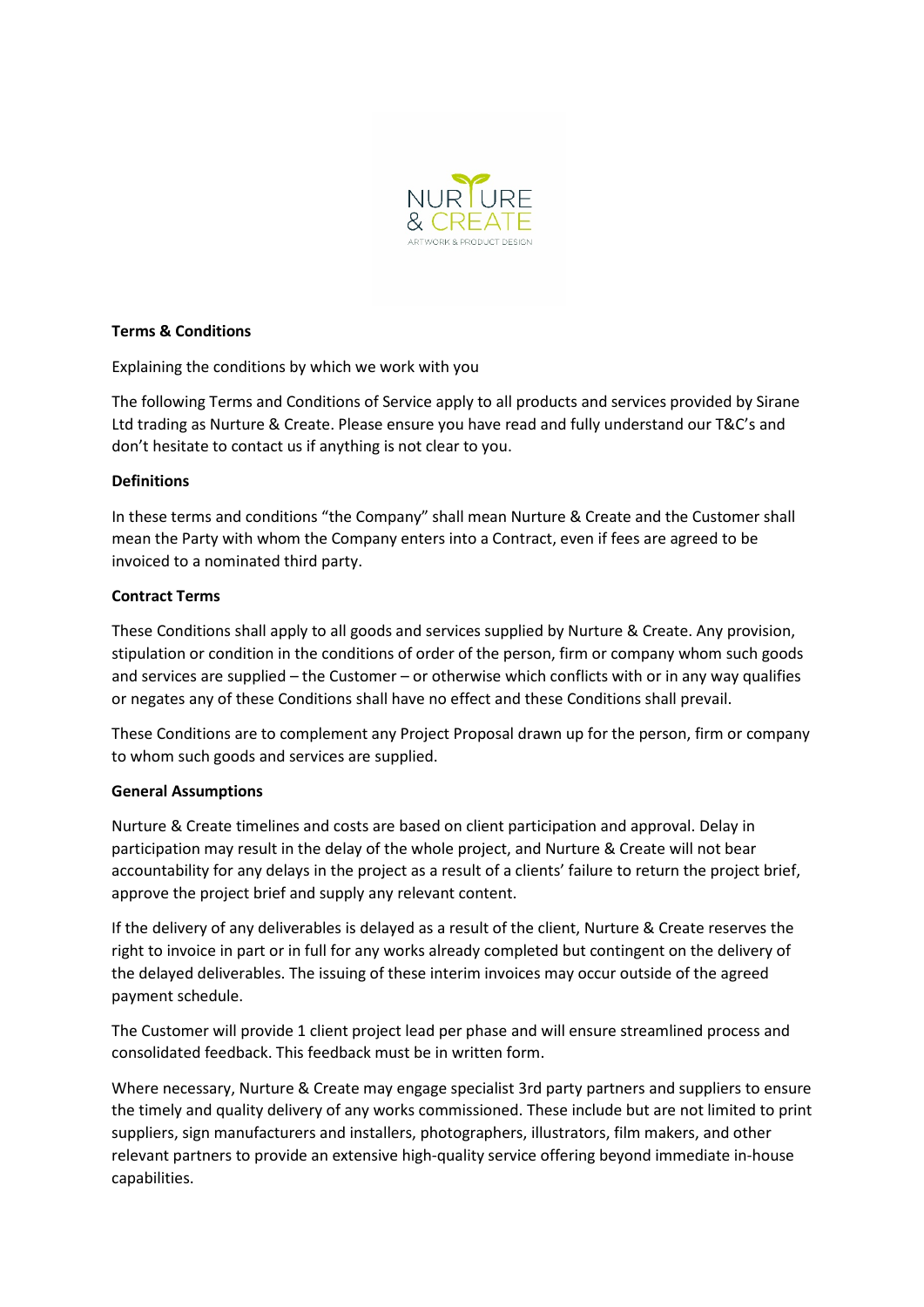

# **Terms & Conditions**

Explaining the conditions by which we work with you

The following Terms and Conditions of Service apply to all products and services provided by Sirane Ltd trading as Nurture & Create. Please ensure you have read and fully understand our T&C's and don't hesitate to contact us if anything is not clear to you.

# **Definitions**

In these terms and conditions "the Company" shall mean Nurture & Create and the Customer shall mean the Party with whom the Company enters into a Contract, even if fees are agreed to be invoiced to a nominated third party.

# **Contract Terms**

These Conditions shall apply to all goods and services supplied by Nurture & Create. Any provision, stipulation or condition in the conditions of order of the person, firm or company whom such goods and services are supplied – the Customer – or otherwise which conflicts with or in any way qualifies or negates any of these Conditions shall have no effect and these Conditions shall prevail.

These Conditions are to complement any Project Proposal drawn up for the person, firm or company to whom such goods and services are supplied.

### **General Assumptions**

Nurture & Create timelines and costs are based on client participation and approval. Delay in participation may result in the delay of the whole project, and Nurture & Create will not bear accountability for any delays in the project as a result of a clients' failure to return the project brief, approve the project brief and supply any relevant content.

If the delivery of any deliverables is delayed as a result of the client, Nurture & Create reserves the right to invoice in part or in full for any works already completed but contingent on the delivery of the delayed deliverables. The issuing of these interim invoices may occur outside of the agreed payment schedule.

The Customer will provide 1 client project lead per phase and will ensure streamlined process and consolidated feedback. This feedback must be in written form.

Where necessary, Nurture & Create may engage specialist 3rd party partners and suppliers to ensure the timely and quality delivery of any works commissioned. These include but are not limited to print suppliers, sign manufacturers and installers, photographers, illustrators, film makers, and other relevant partners to provide an extensive high-quality service offering beyond immediate in-house capabilities.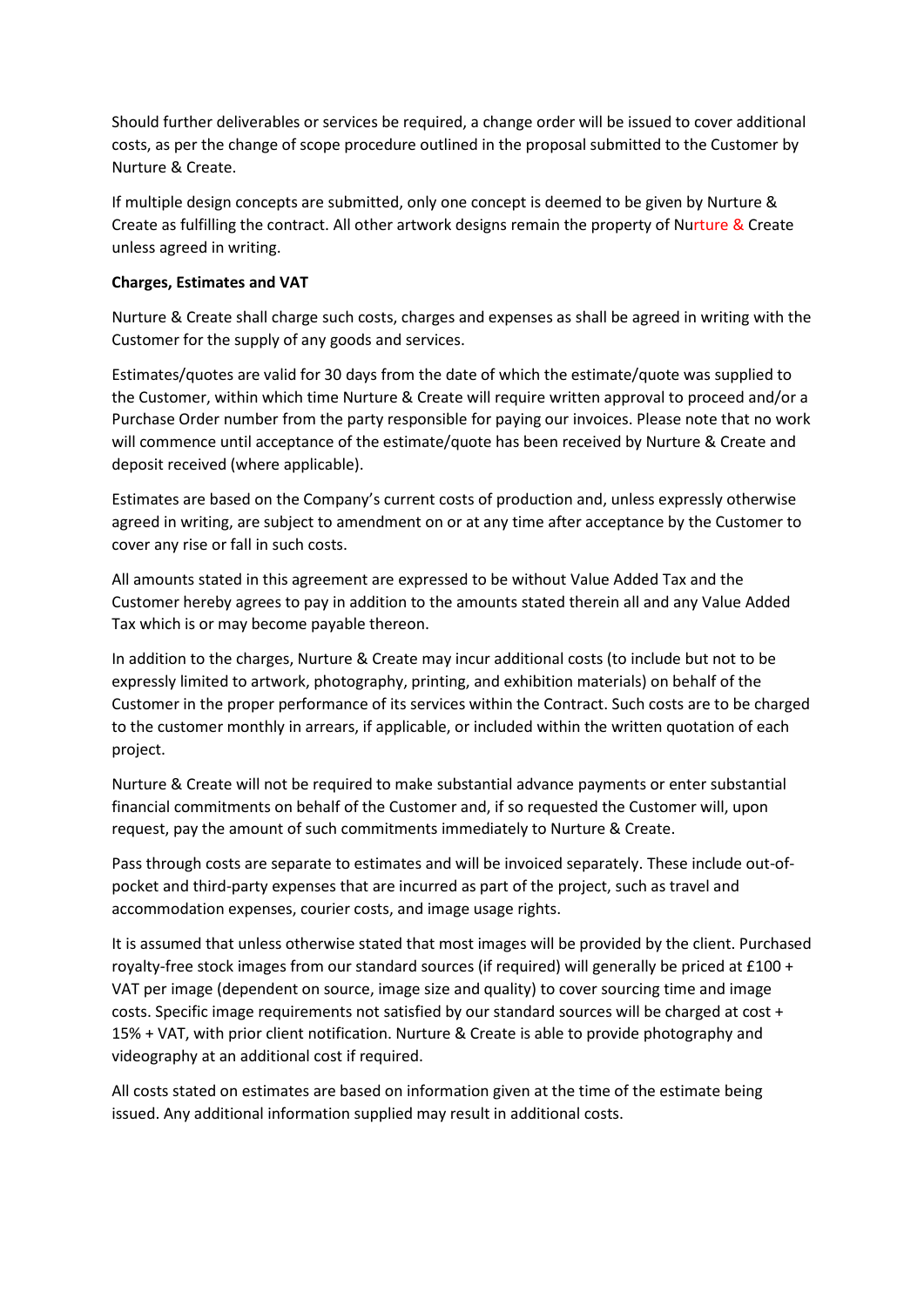Should further deliverables or services be required, a change order will be issued to cover additional costs, as per the change of scope procedure outlined in the proposal submitted to the Customer by Nurture & Create.

If multiple design concepts are submitted, only one concept is deemed to be given by Nurture & Create as fulfilling the contract. All other artwork designs remain the property of Nurture & Create unless agreed in writing.

# **Charges, Estimates and VAT**

Nurture & Create shall charge such costs, charges and expenses as shall be agreed in writing with the Customer for the supply of any goods and services.

Estimates/quotes are valid for 30 days from the date of which the estimate/quote was supplied to the Customer, within which time Nurture & Create will require written approval to proceed and/or a Purchase Order number from the party responsible for paying our invoices. Please note that no work will commence until acceptance of the estimate/quote has been received by Nurture & Create and deposit received (where applicable).

Estimates are based on the Company's current costs of production and, unless expressly otherwise agreed in writing, are subject to amendment on or at any time after acceptance by the Customer to cover any rise or fall in such costs.

All amounts stated in this agreement are expressed to be without Value Added Tax and the Customer hereby agrees to pay in addition to the amounts stated therein all and any Value Added Tax which is or may become payable thereon.

In addition to the charges, Nurture & Create may incur additional costs (to include but not to be expressly limited to artwork, photography, printing, and exhibition materials) on behalf of the Customer in the proper performance of its services within the Contract. Such costs are to be charged to the customer monthly in arrears, if applicable, or included within the written quotation of each project.

Nurture & Create will not be required to make substantial advance payments or enter substantial financial commitments on behalf of the Customer and, if so requested the Customer will, upon request, pay the amount of such commitments immediately to Nurture & Create.

Pass through costs are separate to estimates and will be invoiced separately. These include out-ofpocket and third-party expenses that are incurred as part of the project, such as travel and accommodation expenses, courier costs, and image usage rights.

It is assumed that unless otherwise stated that most images will be provided by the client. Purchased royalty-free stock images from our standard sources (if required) will generally be priced at £100 + VAT per image (dependent on source, image size and quality) to cover sourcing time and image costs. Specific image requirements not satisfied by our standard sources will be charged at cost + 15% + VAT, with prior client notification. Nurture & Create is able to provide photography and videography at an additional cost if required.

All costs stated on estimates are based on information given at the time of the estimate being issued. Any additional information supplied may result in additional costs.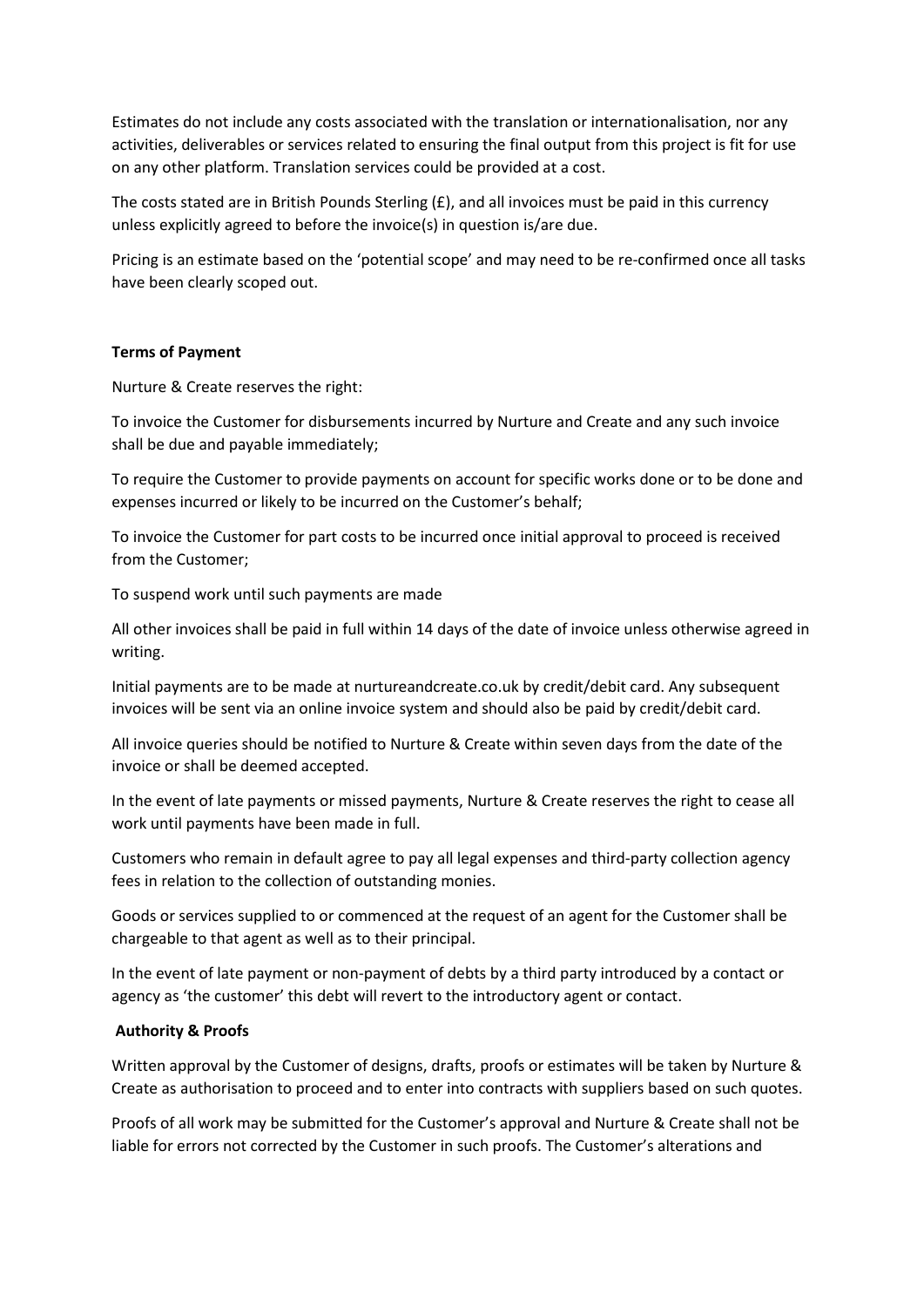Estimates do not include any costs associated with the translation or internationalisation, nor any activities, deliverables or services related to ensuring the final output from this project is fit for use on any other platform. Translation services could be provided at a cost.

The costs stated are in British Pounds Sterling (£), and all invoices must be paid in this currency unless explicitly agreed to before the invoice(s) in question is/are due.

Pricing is an estimate based on the 'potential scope' and may need to be re-confirmed once all tasks have been clearly scoped out.

#### **Terms of Payment**

Nurture & Create reserves the right:

To invoice the Customer for disbursements incurred by Nurture and Create and any such invoice shall be due and payable immediately;

To require the Customer to provide payments on account for specific works done or to be done and expenses incurred or likely to be incurred on the Customer's behalf;

To invoice the Customer for part costs to be incurred once initial approval to proceed is received from the Customer;

To suspend work until such payments are made

All other invoices shall be paid in full within 14 days of the date of invoice unless otherwise agreed in writing.

Initial payments are to be made at nurtureandcreate.co.uk by credit/debit card. Any subsequent invoices will be sent via an online invoice system and should also be paid by credit/debit card.

All invoice queries should be notified to Nurture & Create within seven days from the date of the invoice or shall be deemed accepted.

In the event of late payments or missed payments, Nurture & Create reserves the right to cease all work until payments have been made in full.

Customers who remain in default agree to pay all legal expenses and third-party collection agency fees in relation to the collection of outstanding monies.

Goods or services supplied to or commenced at the request of an agent for the Customer shall be chargeable to that agent as well as to their principal.

In the event of late payment or non-payment of debts by a third party introduced by a contact or agency as 'the customer' this debt will revert to the introductory agent or contact.

### **Authority & Proofs**

Written approval by the Customer of designs, drafts, proofs or estimates will be taken by Nurture & Create as authorisation to proceed and to enter into contracts with suppliers based on such quotes.

Proofs of all work may be submitted for the Customer's approval and Nurture & Create shall not be liable for errors not corrected by the Customer in such proofs. The Customer's alterations and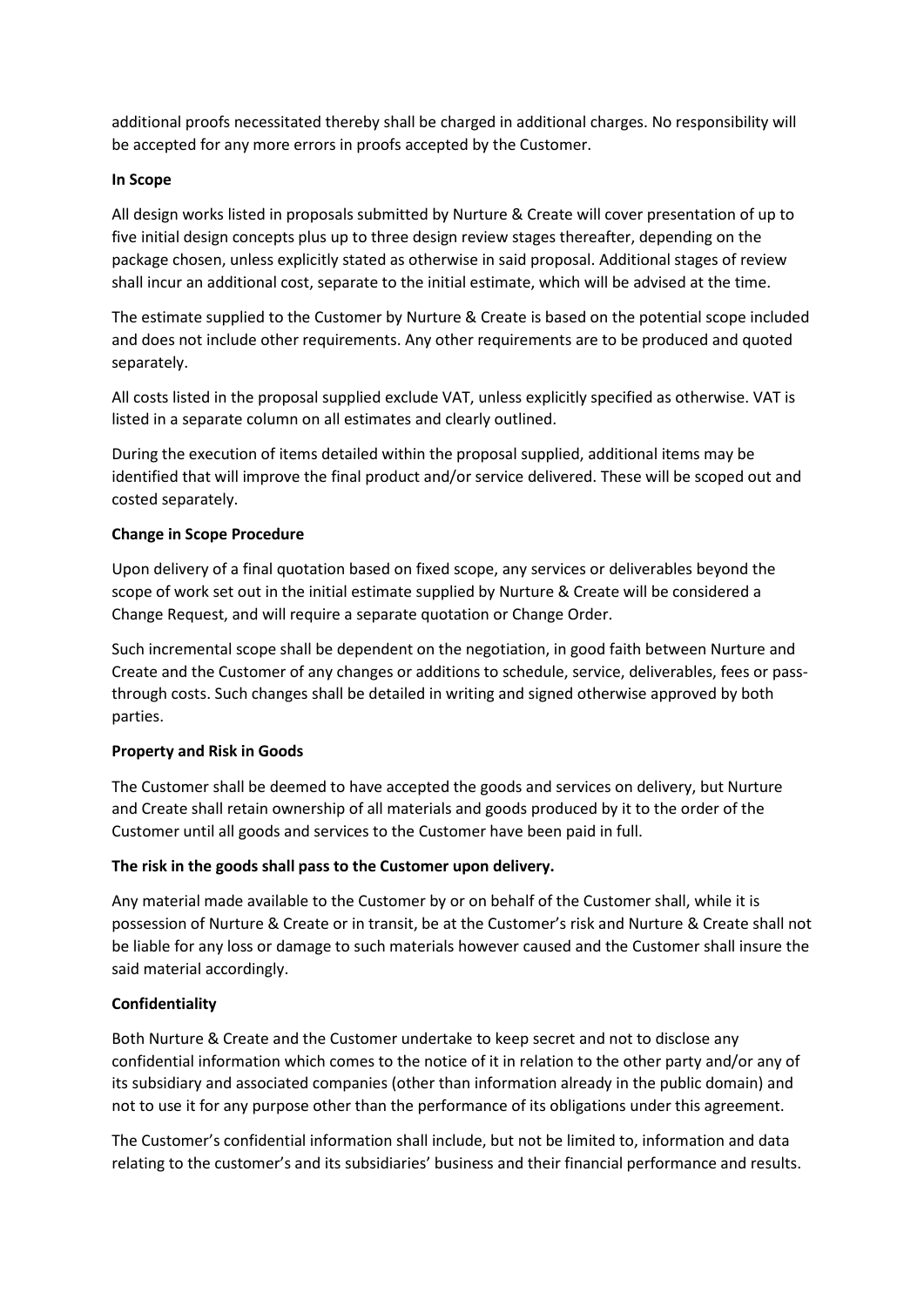additional proofs necessitated thereby shall be charged in additional charges. No responsibility will be accepted for any more errors in proofs accepted by the Customer.

# **In Scope**

All design works listed in proposals submitted by Nurture & Create will cover presentation of up to five initial design concepts plus up to three design review stages thereafter, depending on the package chosen, unless explicitly stated as otherwise in said proposal. Additional stages of review shall incur an additional cost, separate to the initial estimate, which will be advised at the time.

The estimate supplied to the Customer by Nurture & Create is based on the potential scope included and does not include other requirements. Any other requirements are to be produced and quoted separately.

All costs listed in the proposal supplied exclude VAT, unless explicitly specified as otherwise. VAT is listed in a separate column on all estimates and clearly outlined.

During the execution of items detailed within the proposal supplied, additional items may be identified that will improve the final product and/or service delivered. These will be scoped out and costed separately.

# **Change in Scope Procedure**

Upon delivery of a final quotation based on fixed scope, any services or deliverables beyond the scope of work set out in the initial estimate supplied by Nurture & Create will be considered a Change Request, and will require a separate quotation or Change Order.

Such incremental scope shall be dependent on the negotiation, in good faith between Nurture and Create and the Customer of any changes or additions to schedule, service, deliverables, fees or passthrough costs. Such changes shall be detailed in writing and signed otherwise approved by both parties.

### **Property and Risk in Goods**

The Customer shall be deemed to have accepted the goods and services on delivery, but Nurture and Create shall retain ownership of all materials and goods produced by it to the order of the Customer until all goods and services to the Customer have been paid in full.

### **The risk in the goods shall pass to the Customer upon delivery.**

Any material made available to the Customer by or on behalf of the Customer shall, while it is possession of Nurture & Create or in transit, be at the Customer's risk and Nurture & Create shall not be liable for any loss or damage to such materials however caused and the Customer shall insure the said material accordingly.

### **Confidentiality**

Both Nurture & Create and the Customer undertake to keep secret and not to disclose any confidential information which comes to the notice of it in relation to the other party and/or any of its subsidiary and associated companies (other than information already in the public domain) and not to use it for any purpose other than the performance of its obligations under this agreement.

The Customer's confidential information shall include, but not be limited to, information and data relating to the customer's and its subsidiaries' business and their financial performance and results.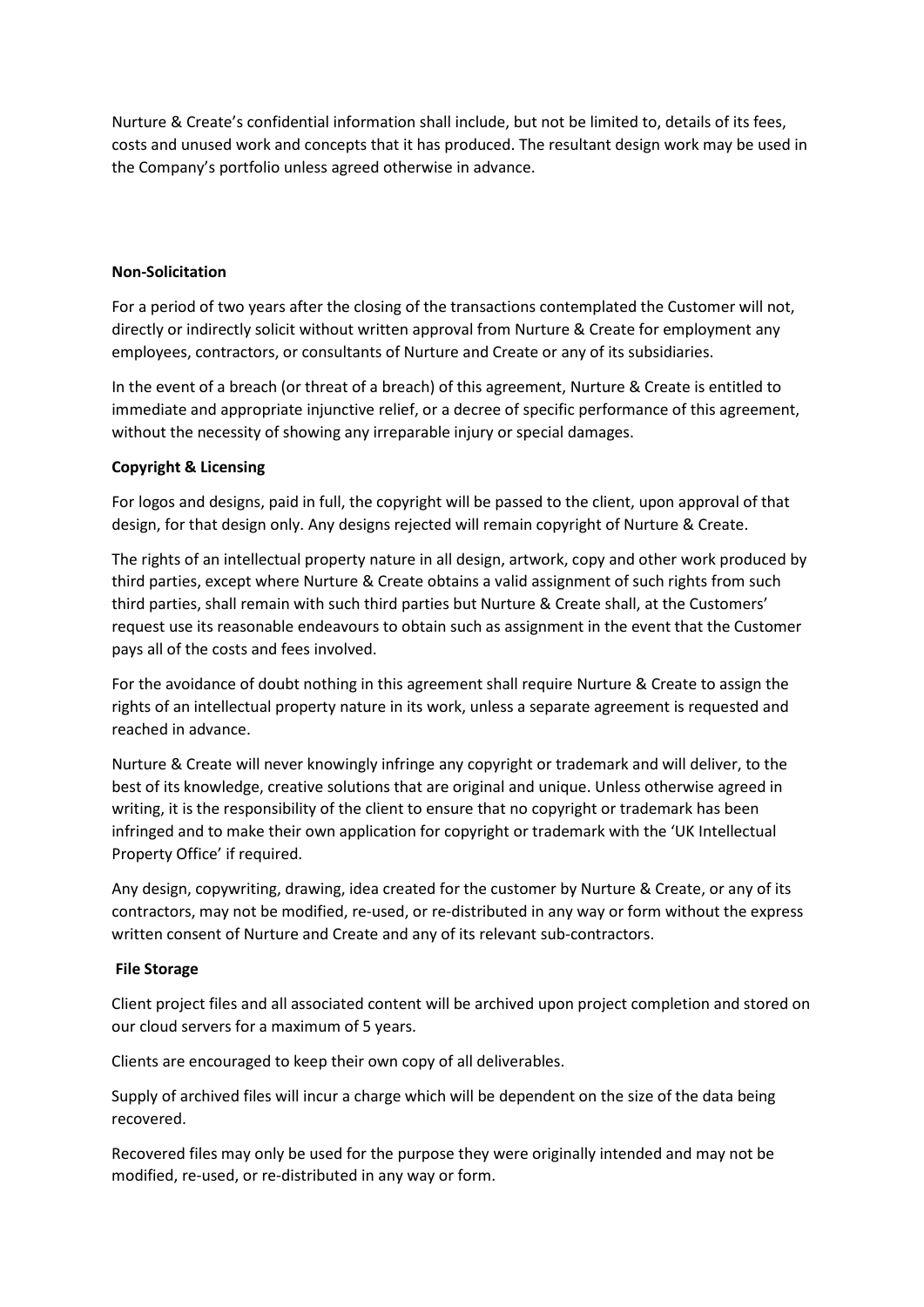Nurture & Create's confidential information shall include, but not be limited to, details of its fees, costs and unused work and concepts that it has produced. The resultant design work may be used in the Company's portfolio unless agreed otherwise in advance.

### **Non-Solicitation**

For a period of two years after the closing of the transactions contemplated the Customer will not, directly or indirectly solicit without written approval from Nurture & Create for employment any employees, contractors, or consultants of Nurture and Create or any of its subsidiaries.

In the event of a breach (or threat of a breach) of this agreement, Nurture & Create is entitled to immediate and appropriate injunctive relief, or a decree of specific performance of this agreement, without the necessity of showing any irreparable injury or special damages.

#### **Copyright & Licensing**

For logos and designs, paid in full, the copyright will be passed to the client, upon approval of that design, for that design only. Any designs rejected will remain copyright of Nurture & Create.

The rights of an intellectual property nature in all design, artwork, copy and other work produced by third parties, except where Nurture & Create obtains a valid assignment of such rights from such third parties, shall remain with such third parties but Nurture & Create shall, at the Customers' request use its reasonable endeavours to obtain such as assignment in the event that the Customer pays all of the costs and fees involved.

For the avoidance of doubt nothing in this agreement shall require Nurture & Create to assign the rights of an intellectual property nature in its work, unless a separate agreement is requested and reached in advance.

Nurture & Create will never knowingly infringe any copyright or trademark and will deliver, to the best of its knowledge, creative solutions that are original and unique. Unless otherwise agreed in writing, it is the responsibility of the client to ensure that no copyright or trademark has been infringed and to make their own application for copyright or trademark with the 'UK Intellectual Property Office' if required.

Any design, copywriting, drawing, idea created for the customer by Nurture & Create, or any of its contractors, may not be modified, re-used, or re-distributed in any way or form without the express written consent of Nurture and Create and any of its relevant sub-contractors.

#### **File Storage**

Client project files and all associated content will be archived upon project completion and stored on our cloud servers for a maximum of 5 years.

Clients are encouraged to keep their own copy of all deliverables.

Supply of archived files will incur a charge which will be dependent on the size of the data being recovered.

Recovered files may only be used for the purpose they were originally intended and may not be modified, re-used, or re-distributed in any way or form.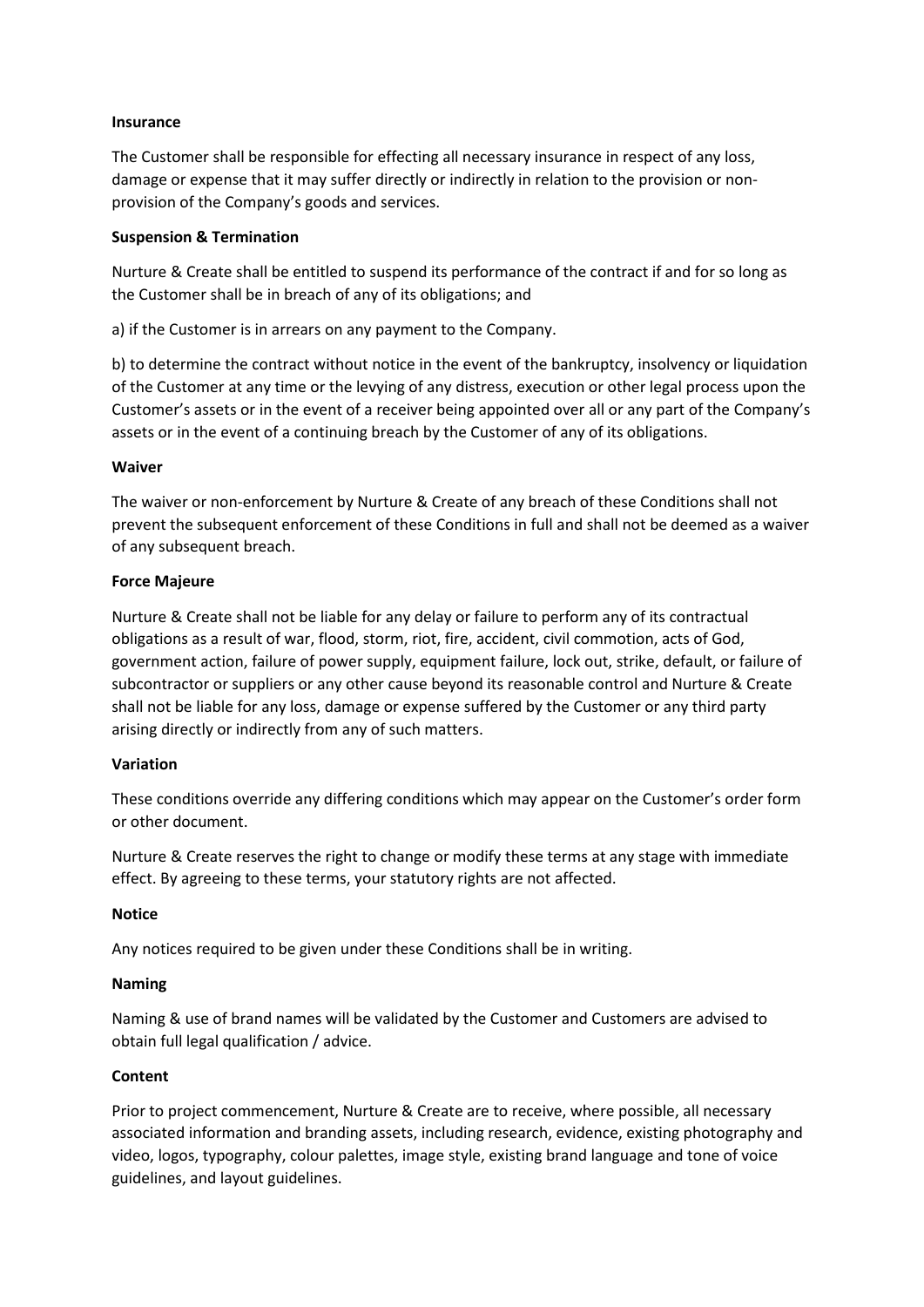### **Insurance**

The Customer shall be responsible for effecting all necessary insurance in respect of any loss, damage or expense that it may suffer directly or indirectly in relation to the provision or nonprovision of the Company's goods and services.

# **Suspension & Termination**

Nurture & Create shall be entitled to suspend its performance of the contract if and for so long as the Customer shall be in breach of any of its obligations; and

a) if the Customer is in arrears on any payment to the Company.

b) to determine the contract without notice in the event of the bankruptcy, insolvency or liquidation of the Customer at any time or the levying of any distress, execution or other legal process upon the Customer's assets or in the event of a receiver being appointed over all or any part of the Company's assets or in the event of a continuing breach by the Customer of any of its obligations.

# **Waiver**

The waiver or non-enforcement by Nurture & Create of any breach of these Conditions shall not prevent the subsequent enforcement of these Conditions in full and shall not be deemed as a waiver of any subsequent breach.

# **Force Majeure**

Nurture & Create shall not be liable for any delay or failure to perform any of its contractual obligations as a result of war, flood, storm, riot, fire, accident, civil commotion, acts of God, government action, failure of power supply, equipment failure, lock out, strike, default, or failure of subcontractor or suppliers or any other cause beyond its reasonable control and Nurture & Create shall not be liable for any loss, damage or expense suffered by the Customer or any third party arising directly or indirectly from any of such matters.

### **Variation**

These conditions override any differing conditions which may appear on the Customer's order form or other document.

Nurture & Create reserves the right to change or modify these terms at any stage with immediate effect. By agreeing to these terms, your statutory rights are not affected.

### **Notice**

Any notices required to be given under these Conditions shall be in writing.

### **Naming**

Naming & use of brand names will be validated by the Customer and Customers are advised to obtain full legal qualification / advice.

### **Content**

Prior to project commencement, Nurture & Create are to receive, where possible, all necessary associated information and branding assets, including research, evidence, existing photography and video, logos, typography, colour palettes, image style, existing brand language and tone of voice guidelines, and layout guidelines.